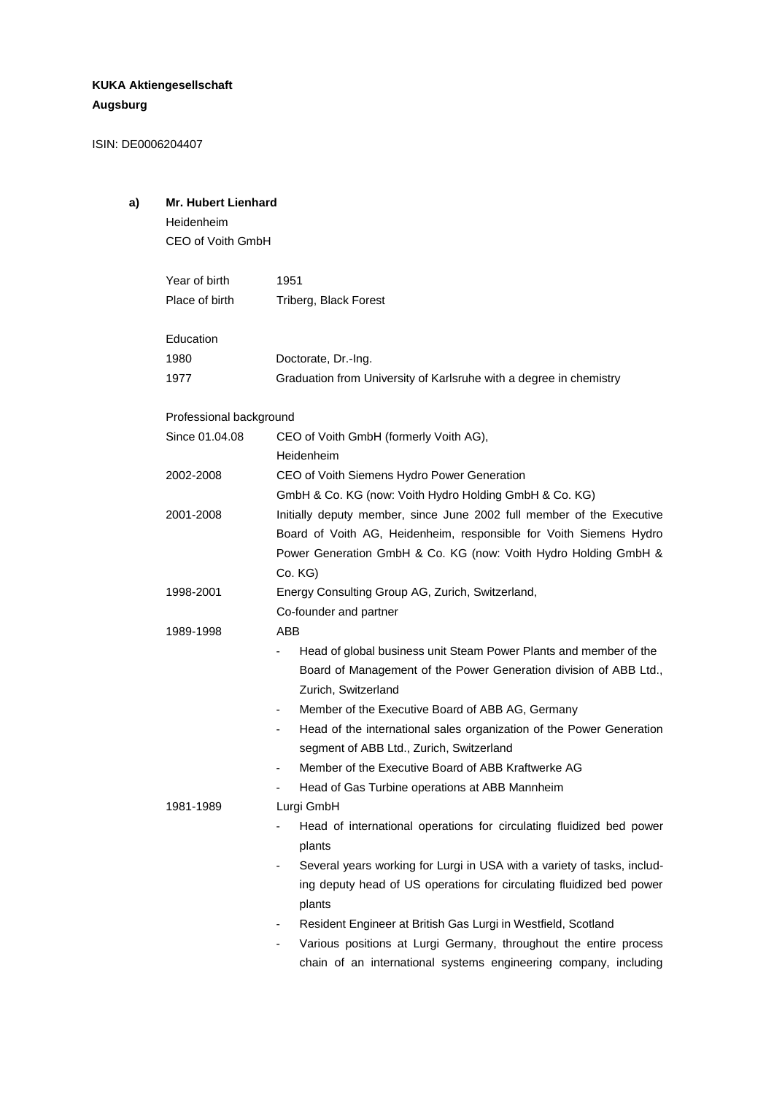# **KUKA Aktiengesellschaft Augsburg**

ISIN: DE0006204407

# **a) Mr. Hubert Lienhard**

Heidenheim CEO of Voith GmbH

| Year of birth<br>Place of birth | 1951<br>Triberg, Black Forest                                                                     |  |
|---------------------------------|---------------------------------------------------------------------------------------------------|--|
|                                 |                                                                                                   |  |
| Education                       |                                                                                                   |  |
| 1980                            | Doctorate, Dr.-Ing.                                                                               |  |
| 1977                            | Graduation from University of Karlsruhe with a degree in chemistry                                |  |
| Professional background         |                                                                                                   |  |
| Since 01.04.08                  | CEO of Voith GmbH (formerly Voith AG),                                                            |  |
|                                 | Heidenheim                                                                                        |  |
| 2002-2008                       | CEO of Voith Siemens Hydro Power Generation                                                       |  |
|                                 | GmbH & Co. KG (now: Voith Hydro Holding GmbH & Co. KG)                                            |  |
| 2001-2008                       | Initially deputy member, since June 2002 full member of the Executive                             |  |
|                                 | Board of Voith AG, Heidenheim, responsible for Voith Siemens Hydro                                |  |
|                                 | Power Generation GmbH & Co. KG (now: Voith Hydro Holding GmbH &                                   |  |
|                                 | Co. KG)                                                                                           |  |
| 1998-2001                       | Energy Consulting Group AG, Zurich, Switzerland,                                                  |  |
|                                 | Co-founder and partner                                                                            |  |
| 1989-1998                       | ABB                                                                                               |  |
|                                 | Head of global business unit Steam Power Plants and member of the                                 |  |
|                                 | Board of Management of the Power Generation division of ABB Ltd.,                                 |  |
|                                 | Zurich, Switzerland                                                                               |  |
|                                 | Member of the Executive Board of ABB AG, Germany<br>$\overline{\phantom{a}}$                      |  |
|                                 | Head of the international sales organization of the Power Generation                              |  |
|                                 | segment of ABB Ltd., Zurich, Switzerland                                                          |  |
|                                 | Member of the Executive Board of ABB Kraftwerke AG<br>٠                                           |  |
|                                 | Head of Gas Turbine operations at ABB Mannheim                                                    |  |
| 1981-1989                       | Lurgi GmbH                                                                                        |  |
|                                 | Head of international operations for circulating fluidized bed power<br>plants                    |  |
|                                 | Several years working for Lurgi in USA with a variety of tasks, includ-                           |  |
|                                 | ing deputy head of US operations for circulating fluidized bed power<br>plants                    |  |
|                                 | Resident Engineer at British Gas Lurgi in Westfield, Scotland<br>$\qquad \qquad \blacksquare$     |  |
|                                 | Various positions at Lurgi Germany, throughout the entire process<br>$\qquad \qquad \blacksquare$ |  |
|                                 | chain of an international systems engineering company, including                                  |  |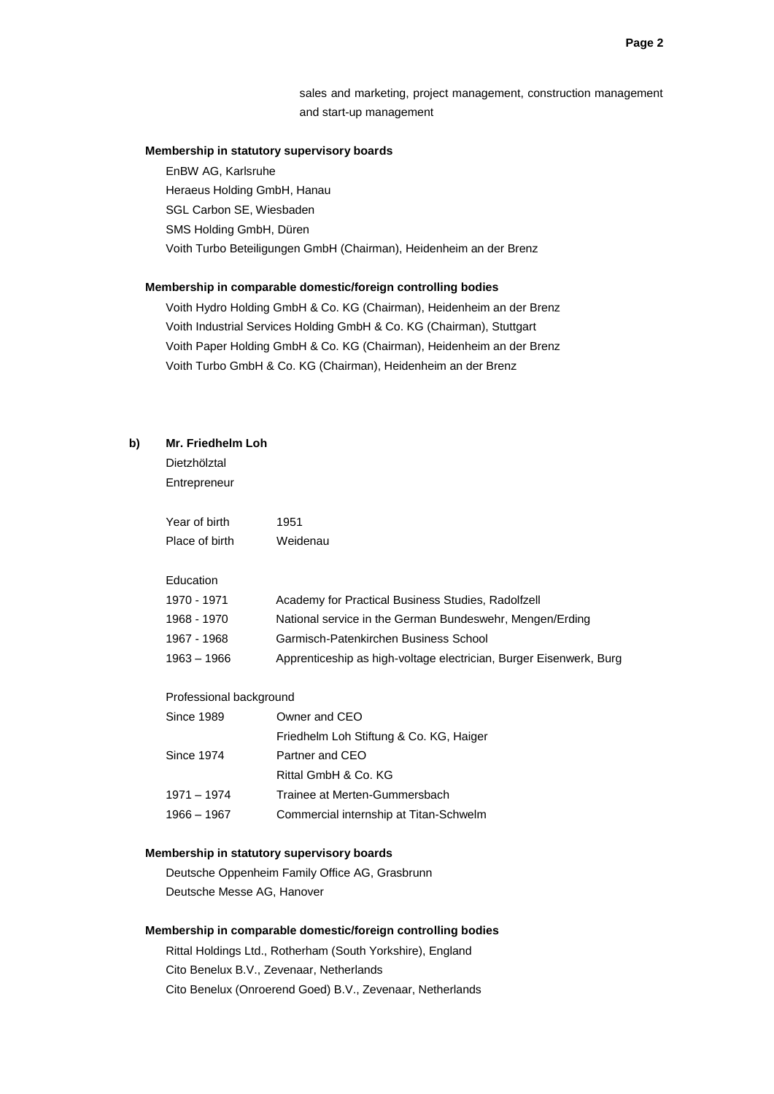sales and marketing, project management, construction management and start-up management

## **Membership in statutory supervisory boards**

EnBW AG, Karlsruhe Heraeus Holding GmbH, Hanau SGL Carbon SE, Wiesbaden SMS Holding GmbH, Düren Voith Turbo Beteiligungen GmbH (Chairman), Heidenheim an der Brenz

#### **Membership in comparable domestic/foreign controlling bodies**

Voith Hydro Holding GmbH & Co. KG (Chairman), Heidenheim an der Brenz Voith Industrial Services Holding GmbH & Co. KG (Chairman), Stuttgart Voith Paper Holding GmbH & Co. KG (Chairman), Heidenheim an der Brenz Voith Turbo GmbH & Co. KG (Chairman), Heidenheim an der Brenz

#### **b) Mr. Friedhelm Loh**

Dietzhölztal **Entrepreneur** 

Year of birth 1951 Place of birth Weidenau

#### Education

| 1970 - 1971 | Academy for Practical Business Studies, Radolfzell                 |
|-------------|--------------------------------------------------------------------|
| 1968 - 1970 | National service in the German Bundeswehr, Mengen/Erding           |
| 1967 - 1968 | Garmisch-Patenkirchen Business School                              |
| 1963 – 1966 | Apprenticeship as high-voltage electrician, Burger Eisenwerk, Burg |

### Professional background

| Owner and CEO                           |
|-----------------------------------------|
| Friedhelm Loh Stiftung & Co. KG, Haiger |
| Partner and CEO                         |
| Rittal GmbH & Co. KG                    |
| Trainee at Merten-Gummersbach           |
| Commercial internship at Titan-Schwelm  |
|                                         |

### **Membership in statutory supervisory boards**

Deutsche Oppenheim Family Office AG, Grasbrunn Deutsche Messe AG, Hanover

# **Membership in comparable domestic/foreign controlling bodies**

Rittal Holdings Ltd., Rotherham (South Yorkshire), England Cito Benelux B.V., Zevenaar, Netherlands Cito Benelux (Onroerend Goed) B.V., Zevenaar, Netherlands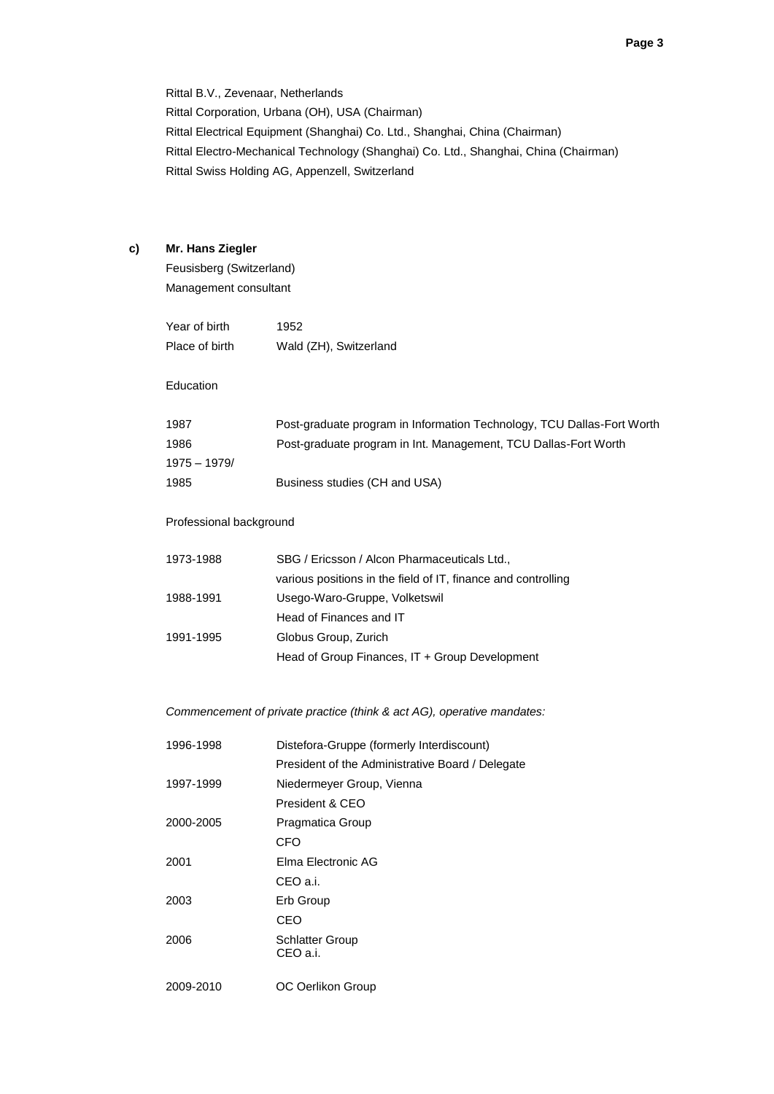Rittal B.V., Zevenaar, Netherlands Rittal Corporation, Urbana (OH), USA (Chairman) Rittal Electrical Equipment (Shanghai) Co. Ltd., Shanghai, China (Chairman) Rittal Electro-Mechanical Technology (Shanghai) Co. Ltd., Shanghai, China (Chairman) Rittal Swiss Holding AG, Appenzell, Switzerland

# **c) Mr. Hans Ziegler**

Feusisberg (Switzerland) Management consultant

| Year of birth  | 1952                   |
|----------------|------------------------|
| Place of birth | Wald (ZH), Switzerland |

### Education

| 1987           | Post-graduate program in Information Technology, TCU Dallas-Fort Worth |
|----------------|------------------------------------------------------------------------|
| 1986           | Post-graduate program in Int. Management, TCU Dallas-Fort Worth        |
| $1975 - 1979/$ |                                                                        |
| 1985           | Business studies (CH and USA)                                          |

# Professional background

| 1973-1988 | SBG / Ericsson / Alcon Pharmaceuticals Ltd.,                  |
|-----------|---------------------------------------------------------------|
|           | various positions in the field of IT, finance and controlling |
| 1988-1991 | Usego-Waro-Gruppe, Volketswil                                 |
|           | Head of Finances and IT                                       |
| 1991-1995 | Globus Group, Zurich                                          |
|           | Head of Group Finances, IT + Group Development                |

## *Commencement of private practice (think & act AG), operative mandates:*

| 1996-1998 | Distefora-Gruppe (formerly Interdiscount)        |
|-----------|--------------------------------------------------|
|           | President of the Administrative Board / Delegate |
| 1997-1999 | Niedermeyer Group, Vienna                        |
|           | President & CEO                                  |
| 2000-2005 | Pragmatica Group                                 |
|           | CFO                                              |
| 2001      | Elma Electronic AG                               |
|           | CEO a.i.                                         |
| 2003      | Erb Group                                        |
|           | CEO                                              |
| 2006      | <b>Schlatter Group</b><br>CEO a.i.               |
| 2009-2010 | OC Oerlikon Group                                |